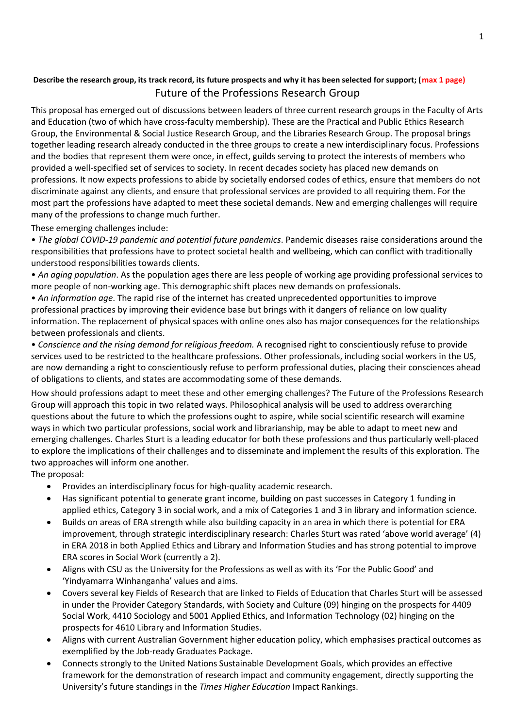# **Describe the research group, its track record, its future prospects and why it has been selected for support; (max 1 page)** Future of the Professions Research Group

This proposal has emerged out of discussions between leaders of three current research groups in the Faculty of Arts and Education (two of which have cross-faculty membership). These are the Practical and Public Ethics Research Group, the Environmental & Social Justice Research Group, and the Libraries Research Group. The proposal brings together leading research already conducted in the three groups to create a new interdisciplinary focus. Professions and the bodies that represent them were once, in effect, guilds serving to protect the interests of members who provided a well-specified set of services to society. In recent decades society has placed new demands on professions. It now expects professions to abide by societally endorsed codes of ethics, ensure that members do not discriminate against any clients, and ensure that professional services are provided to all requiring them. For the most part the professions have adapted to meet these societal demands. New and emerging challenges will require many of the professions to change much further.

# These emerging challenges include:

• *The global COVID-19 pandemic and potential future pandemics*. Pandemic diseases raise considerations around the responsibilities that professions have to protect societal health and wellbeing, which can conflict with traditionally understood responsibilities towards clients.

• *An aging population*. As the population ages there are less people of working age providing professional services to more people of non-working age. This demographic shift places new demands on professionals.

• *An information age*. The rapid rise of the internet has created unprecedented opportunities to improve professional practices by improving their evidence base but brings with it dangers of reliance on low quality information. The replacement of physical spaces with online ones also has major consequences for the relationships between professionals and clients.

• *Conscience and the rising demand for religious freedom.* A recognised right to conscientiously refuse to provide services used to be restricted to the healthcare professions. Other professionals, including social workers in the US, are now demanding a right to conscientiously refuse to perform professional duties, placing their consciences ahead of obligations to clients, and states are accommodating some of these demands.

How should professions adapt to meet these and other emerging challenges? The Future of the Professions Research Group will approach this topic in two related ways. Philosophical analysis will be used to address overarching questions about the future to which the professions ought to aspire, while social scientific research will examine ways in which two particular professions, social work and librarianship, may be able to adapt to meet new and emerging challenges. Charles Sturt is a leading educator for both these professions and thus particularly well-placed to explore the implications of their challenges and to disseminate and implement the results of this exploration. The two approaches will inform one another.

The proposal:

- Provides an interdisciplinary focus for high-quality academic research.
- Has significant potential to generate grant income, building on past successes in Category 1 funding in applied ethics, Category 3 in social work, and a mix of Categories 1 and 3 in library and information science.
- Builds on areas of ERA strength while also building capacity in an area in which there is potential for ERA improvement, through strategic interdisciplinary research: Charles Sturt was rated 'above world average' (4) in ERA 2018 in both Applied Ethics and Library and Information Studies and has strong potential to improve ERA scores in Social Work (currently a 2).
- Aligns with CSU as the University for the Professions as well as with its 'For the Public Good' and 'Yindyamarra Winhanganha' values and aims.
- Covers several key Fields of Research that are linked to Fields of Education that Charles Sturt will be assessed in under the Provider Category Standards, with Society and Culture (09) hinging on the prospects for 4409 Social Work, 4410 Sociology and 5001 Applied Ethics, and Information Technology (02) hinging on the prospects for 4610 Library and Information Studies.
- Aligns with current Australian Government higher education policy, which emphasises practical outcomes as exemplified by the Job-ready Graduates Package.
- Connects strongly to the United Nations Sustainable Development Goals, which provides an effective framework for the demonstration of research impact and community engagement, directly supporting the University's future standings in the *Times Higher Education* Impact Rankings.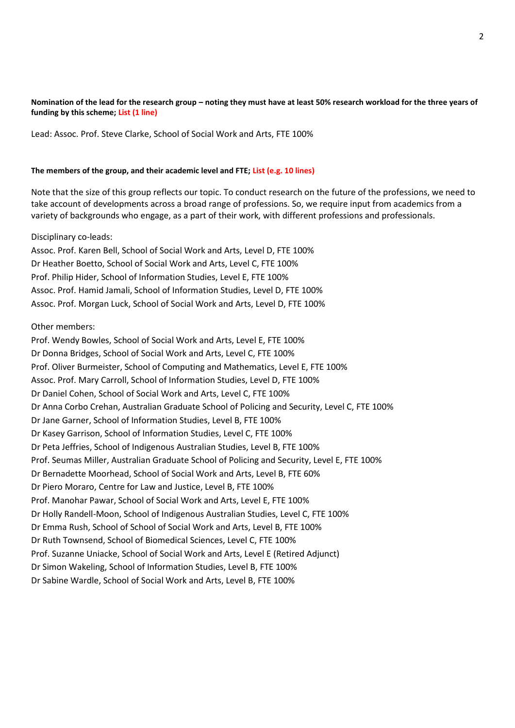## **Nomination of the lead for the research group – noting they must have at least 50% research workload for the three years of funding by this scheme; List (1 line)**

Lead: Assoc. Prof. Steve Clarke, School of Social Work and Arts, FTE 100%

### **The members of the group, and their academic level and FTE; List (e.g. 10 lines)**

Note that the size of this group reflects our topic. To conduct research on the future of the professions, we need to take account of developments across a broad range of professions. So, we require input from academics from a variety of backgrounds who engage, as a part of their work, with different professions and professionals.

### Disciplinary co-leads:

Assoc. Prof. Karen Bell, School of Social Work and Arts, Level D, FTE 100% Dr Heather Boetto, School of Social Work and Arts, Level C, FTE 100% Prof. Philip Hider, School of Information Studies, Level E, FTE 100% Assoc. Prof. Hamid Jamali, School of Information Studies, Level D, FTE 100% Assoc. Prof. Morgan Luck, School of Social Work and Arts, Level D, FTE 100%

### Other members:

Prof. Wendy Bowles, School of Social Work and Arts, Level E, FTE 100% Dr Donna Bridges, School of Social Work and Arts, Level C, FTE 100% Prof. Oliver Burmeister, School of Computing and Mathematics, Level E, FTE 100% Assoc. Prof. Mary Carroll, School of Information Studies, Level D, FTE 100% Dr Daniel Cohen, School of Social Work and Arts, Level C, FTE 100% Dr Anna Corbo Crehan, Australian Graduate School of Policing and Security, Level C, FTE 100% Dr Jane Garner, School of Information Studies, Level B, FTE 100% Dr Kasey Garrison, School of Information Studies, Level C, FTE 100% Dr Peta Jeffries, School of Indigenous Australian Studies, Level B, FTE 100% Prof. Seumas Miller, Australian Graduate School of Policing and Security, Level E, FTE 100% Dr Bernadette Moorhead, School of Social Work and Arts, Level B, FTE 60% Dr Piero Moraro, Centre for Law and Justice, Level B, FTE 100% Prof. Manohar Pawar, School of Social Work and Arts, Level E, FTE 100% Dr Holly Randell-Moon, School of Indigenous Australian Studies, Level C, FTE 100% Dr Emma Rush, School of School of Social Work and Arts, Level B, FTE 100% Dr Ruth Townsend, School of Biomedical Sciences, Level C, FTE 100% Prof. Suzanne Uniacke, School of Social Work and Arts, Level E (Retired Adjunct) Dr Simon Wakeling, School of Information Studies, Level B, FTE 100% Dr Sabine Wardle, School of Social Work and Arts, Level B, FTE 100%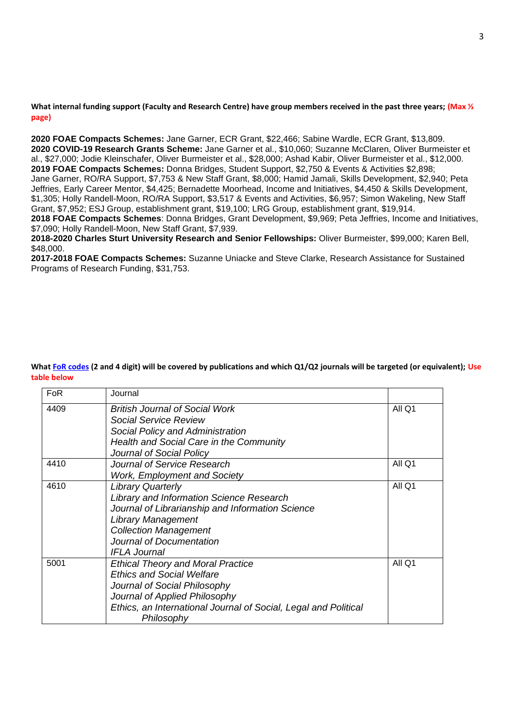**What internal funding support (Faculty and Research Centre) have group members received in the past three years; (Max ½ page)**

**2020 FOAE Compacts Schemes:** Jane Garner, ECR Grant, \$22,466; Sabine Wardle, ECR Grant, \$13,809. **2020 COVID-19 Research Grants Scheme:** Jane Garner et al., \$10,060; Suzanne McClaren, Oliver Burmeister et al., \$27,000; Jodie Kleinschafer, Oliver Burmeister et al., \$28,000; Ashad Kabir, Oliver Burmeister et al., \$12,000. **2019 FOAE Compacts Schemes:** Donna Bridges, Student Support, \$2,750 & Events & Activities \$2,898; Jane Garner, RO/RA Support, \$7,753 & New Staff Grant, \$8,000; Hamid Jamali, Skills Development, \$2,940; Peta Jeffries, Early Career Mentor, \$4,425; Bernadette Moorhead, Income and Initiatives, \$4,450 & Skills Development, \$1,305; Holly Randell-Moon, RO/RA Support, \$3,517 & Events and Activities, \$6,957; Simon Wakeling, New Staff Grant, \$7,952; ESJ Group, establishment grant, \$19,100; LRG Group, establishment grant, \$19,914. **2018 FOAE Compacts Schemes**: Donna Bridges, Grant Development, \$9,969; Peta Jeffries, Income and Initiatives, \$7,090; Holly Randell-Moon, New Staff Grant, \$7,939.

**2018-2020 Charles Sturt University Research and Senior Fellowships:** Oliver Burmeister, \$99,000; Karen Bell, \$48,000.

**2017-2018 FOAE Compacts Schemes:** Suzanne Uniacke and Steve Clarke, Research Assistance for Sustained Programs of Research Funding, \$31,753.

**What [FoR codes](https://research.csu.edu.au/performance/for-codes) (2 and 4 digit) will be covered by publications and which Q1/Q2 journals will be targeted (or equivalent); Use table below**

| FoR  | Journal                                                                       |        |
|------|-------------------------------------------------------------------------------|--------|
| 4409 | British Journal of Social Work                                                | All Q1 |
|      | Social Service Review                                                         |        |
|      | Social Policy and Administration                                              |        |
|      | Health and Social Care in the Community                                       |        |
|      | Journal of Social Policy                                                      |        |
| 4410 | Journal of Service Research                                                   | All Q1 |
|      | <b>Work, Employment and Society</b>                                           |        |
| 4610 | <b>Library Quarterly</b>                                                      | All Q1 |
|      | Library and Information Science Research                                      |        |
|      | Journal of Librarianship and Information Science                              |        |
|      | <b>Library Management</b>                                                     |        |
|      | <b>Collection Management</b>                                                  |        |
|      | Journal of Documentation                                                      |        |
|      | <b>IFLA Journal</b>                                                           |        |
| 5001 | <b>Ethical Theory and Moral Practice</b>                                      | All Q1 |
|      | <b>Ethics and Social Welfare</b>                                              |        |
|      | Journal of Social Philosophy                                                  |        |
|      | Journal of Applied Philosophy                                                 |        |
|      | Ethics, an International Journal of Social, Legal and Political<br>Philosophy |        |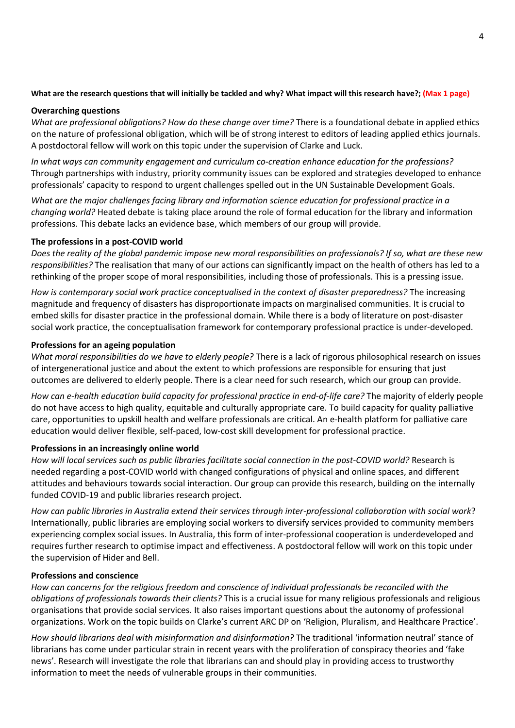# **What are the research questions that will initially be tackled and why? What impact will this research have?; (Max 1 page)**

## **Overarching questions**

*What are professional obligations? How do these change over time?* There is a foundational debate in applied ethics on the nature of professional obligation, which will be of strong interest to editors of leading applied ethics journals. A postdoctoral fellow will work on this topic under the supervision of Clarke and Luck.

*In what ways can community engagement and curriculum co-creation enhance education for the professions?* Through partnerships with industry, priority community issues can be explored and strategies developed to enhance professionals' capacity to respond to urgent challenges spelled out in the UN Sustainable Development Goals.

*What are the major challenges facing library and information science education for professional practice in a changing world?* Heated debate is taking place around the role of formal education for the library and information professions. This debate lacks an evidence base, which members of our group will provide.

# **The professions in a post-COVID world**

*Does the reality of the global pandemic impose new moral responsibilities on professionals? If so, what are these new responsibilities?* The realisation that many of our actions can significantly impact on the health of others has led to a rethinking of the proper scope of moral responsibilities, including those of professionals. This is a pressing issue.

*How is contemporary social work practice conceptualised in the context of disaster preparedness?* The increasing magnitude and frequency of disasters has disproportionate impacts on marginalised communities. It is crucial to embed skills for disaster practice in the professional domain. While there is a body of literature on post-disaster social work practice, the conceptualisation framework for contemporary professional practice is under-developed.

# **Professions for an ageing population**

*What moral responsibilities do we have to elderly people?* There is a lack of rigorous philosophical research on issues of intergenerational justice and about the extent to which professions are responsible for ensuring that just outcomes are delivered to elderly people. There is a clear need for such research, which our group can provide.

*How can e-health education build capacity for professional practice in end-of-life care?* The majority of elderly people do not have access to high quality, equitable and culturally appropriate care. To build capacity for quality palliative care, opportunities to upskill health and welfare professionals are critical. An e-health platform for palliative care education would deliver flexible, self-paced, low-cost skill development for professional practice.

# **Professions in an increasingly online world**

*How will local services such as public libraries facilitate social connection in the post-COVID world?* Research is needed regarding a post-COVID world with changed configurations of physical and online spaces, and different attitudes and behaviours towards social interaction. Our group can provide this research, building on the internally funded COVID-19 and public libraries research project.

*How can public libraries in Australia extend their services through inter-professional collaboration with social work*? Internationally, public libraries are employing social workers to diversify services provided to community members experiencing complex social issues. In Australia, this form of inter-professional cooperation is underdeveloped and requires further research to optimise impact and effectiveness. A postdoctoral fellow will work on this topic under the supervision of Hider and Bell.

# **Professions and conscience**

*How can concerns for the religious freedom and conscience of individual professionals be reconciled with the obligations of professionals towards their clients?* This is a crucial issue for many religious professionals and religious organisations that provide social services. It also raises important questions about the autonomy of professional organizations. Work on the topic builds on Clarke's current ARC DP on 'Religion, Pluralism, and Healthcare Practice'.

*How should librarians deal with misinformation and disinformation?* The traditional 'information neutral' stance of librarians has come under particular strain in recent years with the proliferation of conspiracy theories and 'fake news'. Research will investigate the role that librarians can and should play in providing access to trustworthy information to meet the needs of vulnerable groups in their communities.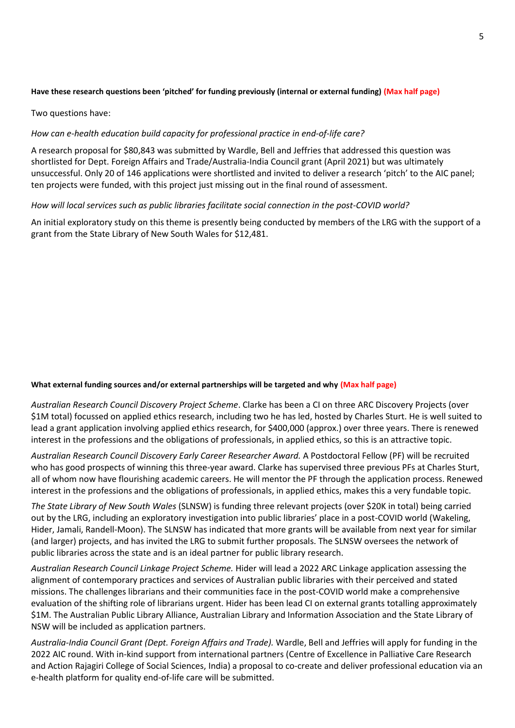## **Have these research questions been 'pitched' for funding previously (internal or external funding) (Max half page)**

### Two questions have:

### *How can e-health education build capacity for professional practice in end-of-life care?*

A research proposal for \$80,843 was submitted by Wardle, Bell and Jeffries that addressed this question was shortlisted for Dept. Foreign Affairs and Trade/Australia-India Council grant (April 2021) but was ultimately unsuccessful. Only 20 of 146 applications were shortlisted and invited to deliver a research 'pitch' to the AIC panel; ten projects were funded, with this project just missing out in the final round of assessment.

### *How will local services such as public libraries facilitate social connection in the post-COVID world?*

An initial exploratory study on this theme is presently being conducted by members of the LRG with the support of a grant from the State Library of New South Wales for \$12,481.

### **What external funding sources and/or external partnerships will be targeted and why (Max half page)**

*Australian Research Council Discovery Project Scheme*. Clarke has been a CI on three ARC Discovery Projects (over \$1M total) focussed on applied ethics research, including two he has led, hosted by Charles Sturt. He is well suited to lead a grant application involving applied ethics research, for \$400,000 (approx.) over three years. There is renewed interest in the professions and the obligations of professionals, in applied ethics, so this is an attractive topic.

*Australian Research Council Discovery Early Career Researcher Award.* A Postdoctoral Fellow (PF) will be recruited who has good prospects of winning this three-year award. Clarke has supervised three previous PFs at Charles Sturt, all of whom now have flourishing academic careers. He will mentor the PF through the application process. Renewed interest in the professions and the obligations of professionals, in applied ethics, makes this a very fundable topic.

*The State Library of New South Wales* (SLNSW) is funding three relevant projects (over \$20K in total) being carried out by the LRG, including an exploratory investigation into public libraries' place in a post-COVID world (Wakeling, Hider, Jamali, Randell-Moon). The SLNSW has indicated that more grants will be available from next year for similar (and larger) projects, and has invited the LRG to submit further proposals. The SLNSW oversees the network of public libraries across the state and is an ideal partner for public library research.

*Australian Research Council Linkage Project Scheme.* Hider will lead a 2022 ARC Linkage application assessing the alignment of contemporary practices and services of Australian public libraries with their perceived and stated missions. The challenges librarians and their communities face in the post-COVID world make a comprehensive evaluation of the shifting role of librarians urgent. Hider has been lead CI on external grants totalling approximately \$1M. The Australian Public Library Alliance, Australian Library and Information Association and the State Library of NSW will be included as application partners.

*Australia-India Council Grant (Dept. Foreign Affairs and Trade).* Wardle, Bell and Jeffries will apply for funding in the 2022 AIC round. With in-kind support from international partners (Centre of Excellence in Palliative Care Research and Action Rajagiri College of Social Sciences, India) a proposal to co-create and deliver professional education via an e-health platform for quality end-of-life care will be submitted.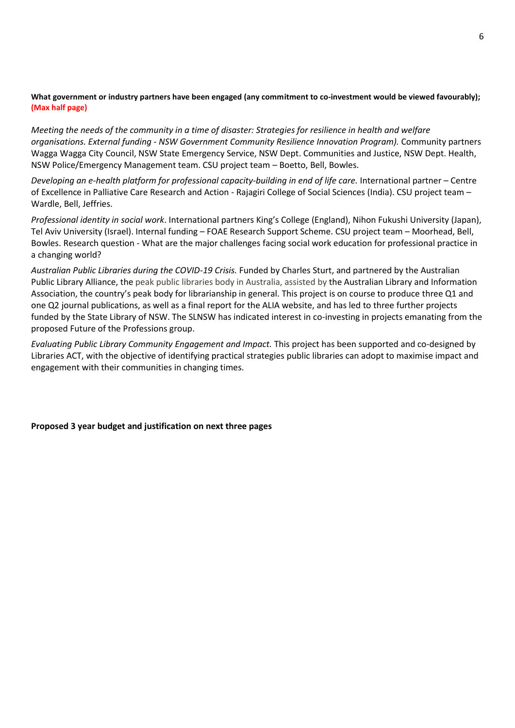## **What government or industry partners have been engaged (any commitment to co-investment would be viewed favourably); (Max half page)**

*Meeting the needs of the community in a time of disaster: Strategies for resilience in health and welfare organisations. External funding - NSW Government Community Resilience Innovation Program).* Community partners Wagga Wagga City Council, NSW State Emergency Service, NSW Dept. Communities and Justice, NSW Dept. Health, NSW Police/Emergency Management team. CSU project team – Boetto, Bell, Bowles.

*Developing an e-health platform for professional capacity-building in end of life care.* International partner – Centre of Excellence in Palliative Care Research and Action - Rajagiri College of Social Sciences (India). CSU project team – Wardle, Bell, Jeffries.

*Professional identity in social work*. International partners King's College (England), Nihon Fukushi University (Japan), Tel Aviv University (Israel). Internal funding – FOAE Research Support Scheme. CSU project team – Moorhead, Bell, Bowles. Research question - What are the major challenges facing social work education for professional practice in a changing world?

*Australian Public Libraries during the COVID-19 Crisis.* Funded by Charles Sturt, and partnered by the Australian Public Library Alliance, the peak public libraries body in Australia, assisted by the Australian Library and Information Association, the country's peak body for librarianship in general. This project is on course to produce three Q1 and one Q2 journal publications, as well as a final report for the ALIA website, and has led to three further projects funded by the State Library of NSW. The SLNSW has indicated interest in co-investing in projects emanating from the proposed Future of the Professions group.

*Evaluating Public Library Community Engagement and Impact.* This project has been supported and co-designed by Libraries ACT, with the objective of identifying practical strategies public libraries can adopt to maximise impact and engagement with their communities in changing times.

### **Proposed 3 year budget and justification on next three pages**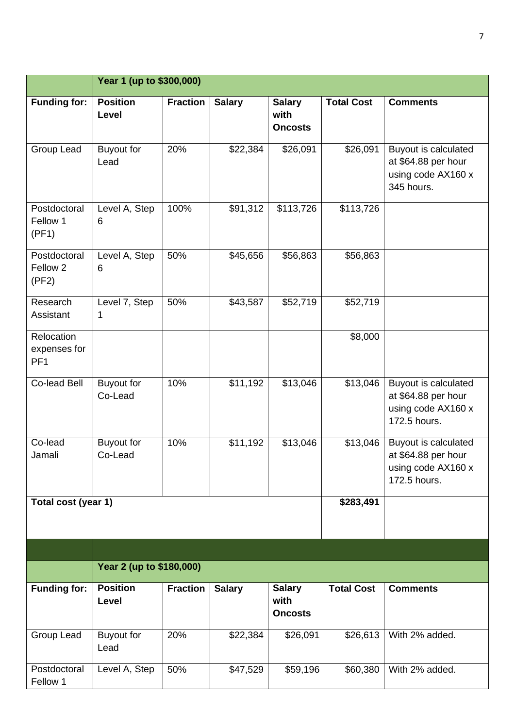|                                               | Year 1 (up to \$300,000)     |                 |               |                                         |                   |                                                                                   |  |  |  |
|-----------------------------------------------|------------------------------|-----------------|---------------|-----------------------------------------|-------------------|-----------------------------------------------------------------------------------|--|--|--|
| <b>Funding for:</b>                           | <b>Position</b><br>Level     | <b>Fraction</b> | <b>Salary</b> | <b>Salary</b><br>with<br><b>Oncosts</b> | <b>Total Cost</b> | <b>Comments</b>                                                                   |  |  |  |
| Group Lead                                    | <b>Buyout for</b><br>Lead    | 20%             | \$22,384      | \$26,091                                | \$26,091          | Buyout is calculated<br>at \$64.88 per hour<br>using code AX160 x<br>345 hours.   |  |  |  |
| Postdoctoral<br>Fellow 1<br>(PF1)             | Level A, Step<br>6           | 100%            | \$91,312      | \$113,726                               | \$113,726         |                                                                                   |  |  |  |
| Postdoctoral<br>Fellow <sub>2</sub><br>(PF2)  | Level A, Step<br>6           | 50%             | \$45,656      | \$56,863                                | \$56,863          |                                                                                   |  |  |  |
| Research<br>Assistant                         | Level 7, Step<br>1           | 50%             | \$43,587      | \$52,719                                | \$52,719          |                                                                                   |  |  |  |
| Relocation<br>expenses for<br>PF <sub>1</sub> |                              |                 |               |                                         | \$8,000           |                                                                                   |  |  |  |
| Co-lead Bell                                  | <b>Buyout for</b><br>Co-Lead | 10%             | \$11,192      | \$13,046                                | \$13,046          | Buyout is calculated<br>at \$64.88 per hour<br>using code AX160 x<br>172.5 hours. |  |  |  |
| Co-lead<br>Jamali                             | <b>Buyout for</b><br>Co-Lead | 10%             | \$11,192      | \$13,046                                | \$13,046          | Buyout is calculated<br>at \$64.88 per hour<br>using code AX160 x<br>172.5 hours. |  |  |  |
| Total cost (year 1)                           |                              |                 |               |                                         | \$283,491         |                                                                                   |  |  |  |
|                                               |                              |                 |               |                                         |                   |                                                                                   |  |  |  |
|                                               | Year 2 (up to \$180,000)     |                 |               |                                         |                   |                                                                                   |  |  |  |
| Funding for:                                  | <b>Position</b><br>Level     | <b>Fraction</b> | <b>Salary</b> | <b>Salary</b><br>with<br><b>Oncosts</b> | <b>Total Cost</b> | <b>Comments</b>                                                                   |  |  |  |
| Group Lead                                    | <b>Buyout for</b><br>Lead    | 20%             | \$22,384      | \$26,091                                | \$26,613          | With 2% added.                                                                    |  |  |  |
| Postdoctoral<br>Fellow 1                      | Level A, Step                | 50%             | \$47,529      | \$59,196                                | \$60,380          | With 2% added.                                                                    |  |  |  |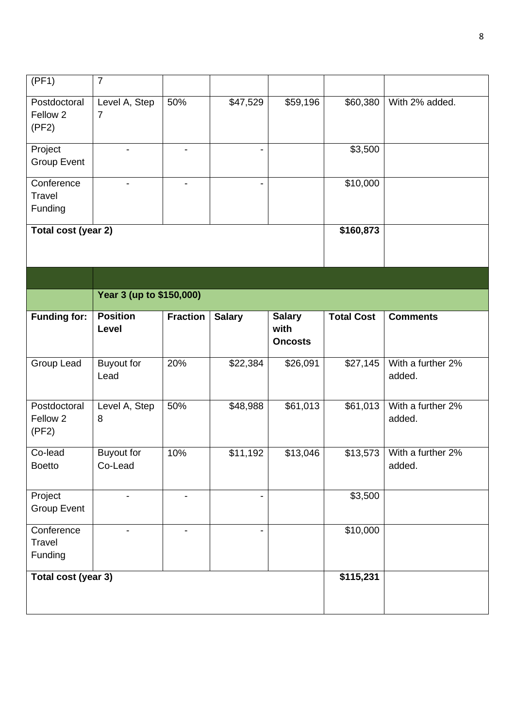| (FF1)                                        | $\overline{7}$                  |                          |                          |                                         |                    |                             |  |  |
|----------------------------------------------|---------------------------------|--------------------------|--------------------------|-----------------------------------------|--------------------|-----------------------------|--|--|
| Postdoctoral<br>Fellow <sub>2</sub><br>(PF2) | Level A, Step<br>$\overline{7}$ | 50%                      | \$47,529                 | \$59,196                                | \$60,380           | With 2% added.              |  |  |
| Project<br><b>Group Event</b>                | $\overline{\phantom{0}}$        |                          | $\overline{\phantom{a}}$ |                                         | \$3,500            |                             |  |  |
| Conference<br>Travel<br>Funding              | $\blacksquare$                  | $\overline{\phantom{a}}$ | $\overline{\phantom{a}}$ |                                         | \$10,000           |                             |  |  |
| Total cost (year 2)                          |                                 | \$160,873                |                          |                                         |                    |                             |  |  |
|                                              |                                 |                          |                          |                                         |                    |                             |  |  |
|                                              | Year 3 (up to \$150,000)        |                          |                          |                                         |                    |                             |  |  |
| <b>Funding for:</b>                          | <b>Position</b><br>Level        | <b>Fraction</b>          | <b>Salary</b>            | <b>Salary</b><br>with<br><b>Oncosts</b> | <b>Total Cost</b>  | <b>Comments</b>             |  |  |
| Group Lead                                   | <b>Buyout for</b><br>Lead       | 20%                      | \$22,384                 | \$26,091                                | \$27,145           | With a further 2%<br>added. |  |  |
| Postdoctoral<br>Fellow 2<br>(PF2)            | Level A, Step<br>8              | 50%                      | \$48,988                 | \$61,013                                | \$61,013           | With a further 2%<br>added. |  |  |
| Co-lead<br><b>Boetto</b>                     | <b>Buyout for</b><br>Co-Lead    | 10%                      | \$11,192                 | \$13,046                                | \$13,573           | With a further 2%<br>added. |  |  |
| Project<br><b>Group Event</b>                | $\overline{\phantom{0}}$        | -                        | $\blacksquare$           |                                         | $\frac{1}{1}3,500$ |                             |  |  |
| Conference<br>Travel<br>Funding              |                                 |                          | $\overline{\phantom{a}}$ |                                         | \$10,000           |                             |  |  |
| Total cost (year 3)                          |                                 |                          |                          |                                         | \$115,231          |                             |  |  |